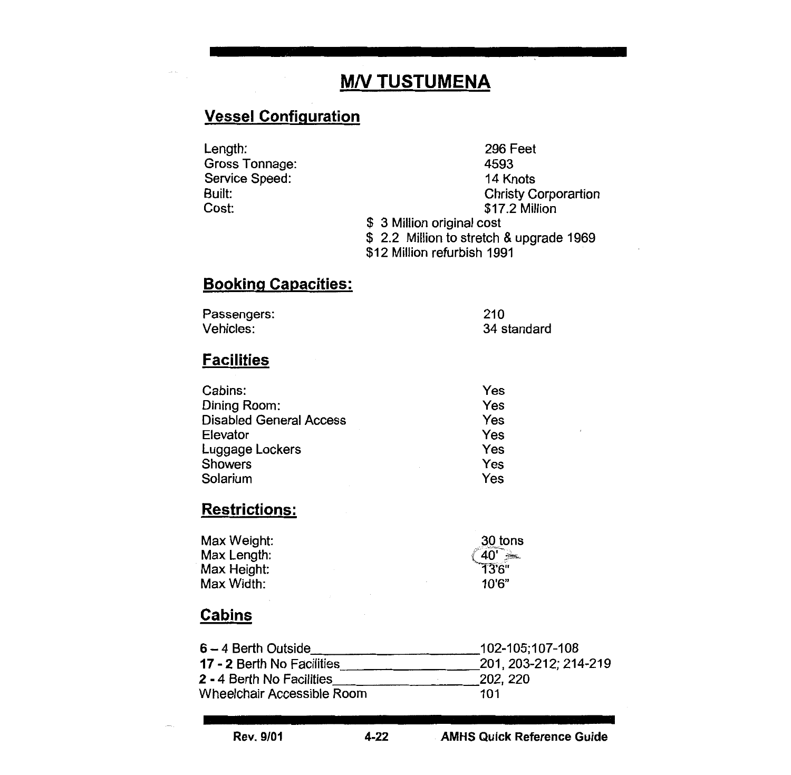# **M/V TUSTUMENA**

## Vessel Configuration

Length: Gross Tonnage: Service Speed: Built: Cost:

296 Feet 4593 14 Knots Christy Corporartion \$17.2 Million \$ 3 Million original cost \$ 2.2 Million to stretch & upgrade 1969 \$12 Million refurbish 1991

## Booking Capacities:

| Passengers: | 210         |
|-------------|-------------|
| Vehicles:   | 34 standard |

#### **Facilities**

| Yes<br>Dining Room:<br>Yes<br><b>Disabled General Access</b><br>Yes<br>Elevator<br>Yes<br>Luggage Lockers<br>Yes<br><b>Showers</b><br>Yes<br>Solarium | Cabins: | Yes |
|-------------------------------------------------------------------------------------------------------------------------------------------------------|---------|-----|
|                                                                                                                                                       |         |     |
|                                                                                                                                                       |         |     |
|                                                                                                                                                       |         |     |
|                                                                                                                                                       |         |     |
|                                                                                                                                                       |         |     |
|                                                                                                                                                       |         |     |

# Restrictions:

| 30 tons              |
|----------------------|
| 40'<br>$\frac{1}{2}$ |
| 13'6"                |
| 10'6"                |
|                      |

#### **Cabins**

| $6 - 4$ Berth Outside            | 102-105:107-108       |
|----------------------------------|-----------------------|
| 17 - 2 Berth No Facilities       | 201, 203-212; 214-219 |
| <b>2 - 4 Berth No Facilities</b> | 202, 220              |
| Wheelchair Accessible Room       | 101                   |